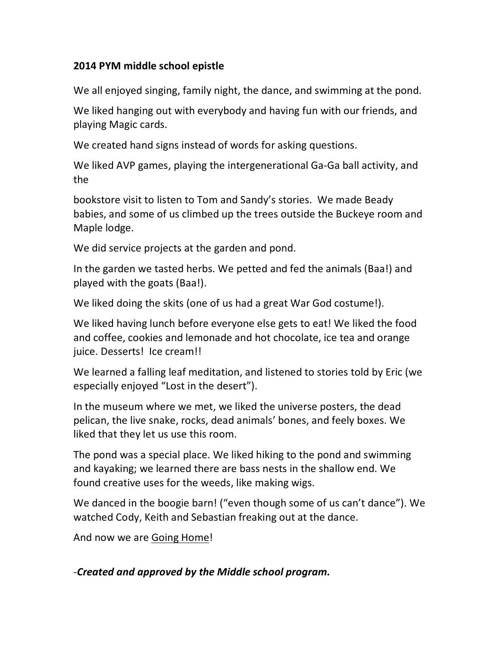## **2014%PYM%middle%school%epistle**

We all enjoyed singing, family night, the dance, and swimming at the pond.

We liked hanging out with everybody and having fun with our friends, and playing Magic cards.

We created hand signs instead of words for asking questions.

We liked AVP games, playing the intergenerational Ga-Ga ball activity, and the#

bookstore visit to listen to Tom and Sandy's stories. We made Beady babies, and some of us climbed up the trees outside the Buckeye room and Maple lodge.

We did service projects at the garden and pond.

In the garden we tasted herbs. We petted and fed the animals (Baa!) and played with the goats (Baa!).

We liked doing the skits (one of us had a great War God costume!).

We liked having lunch before everyone else gets to eat! We liked the food and coffee, cookies and lemonade and hot chocolate, ice tea and orange juice. Desserts! Ice cream!!

We learned a falling leaf meditation, and listened to stories told by Eric (we especially enjoyed "Lost in the desert").

In the museum where we met, we liked the universe posters, the dead pelican, the live snake, rocks, dead animals' bones, and feely boxes. We liked that they let us use this room.

The pond was a special place. We liked hiking to the pond and swimming and kayaking; we learned there are bass nests in the shallow end. We found creative uses for the weeds, like making wigs.

We danced in the boogie barn! ("even though some of us can't dance"). We watched Cody, Keith and Sebastian freaking out at the dance.

And now we are Going Home!

B*Created'and'approved'by'the'Middle'school'program.*